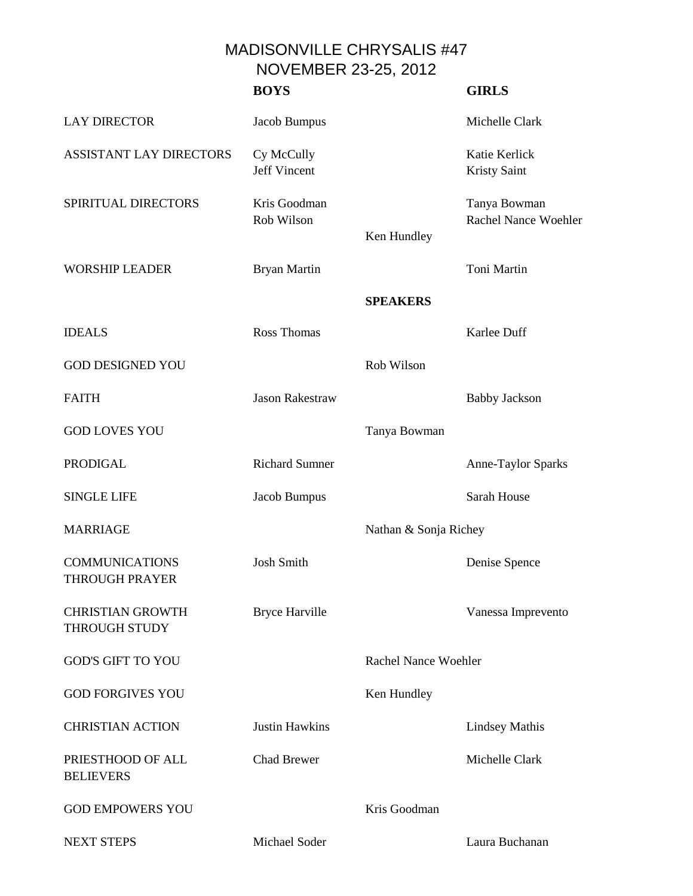MADISONVILLE CHRYSALIS #47 NOVEMBER 23-25, 2012

|                                                 | <b>BOYS</b>                       |                             | <b>GIRLS</b>                         |
|-------------------------------------------------|-----------------------------------|-----------------------------|--------------------------------------|
| <b>LAY DIRECTOR</b>                             | Jacob Bumpus                      |                             | Michelle Clark                       |
| <b>ASSISTANT LAY DIRECTORS</b>                  | Cy McCully<br><b>Jeff Vincent</b> |                             | Katie Kerlick<br><b>Kristy Saint</b> |
| SPIRITUAL DIRECTORS                             | Kris Goodman<br>Rob Wilson        | Ken Hundley                 | Tanya Bowman<br>Rachel Nance Woehler |
| <b>WORSHIP LEADER</b>                           | <b>Bryan Martin</b>               |                             | Toni Martin                          |
|                                                 |                                   | <b>SPEAKERS</b>             |                                      |
| <b>IDEALS</b>                                   | <b>Ross Thomas</b>                |                             | Karlee Duff                          |
| <b>GOD DESIGNED YOU</b>                         |                                   | Rob Wilson                  |                                      |
| <b>FAITH</b>                                    | <b>Jason Rakestraw</b>            |                             | <b>Babby Jackson</b>                 |
| <b>GOD LOVES YOU</b>                            |                                   | Tanya Bowman                |                                      |
| <b>PRODIGAL</b>                                 | <b>Richard Sumner</b>             |                             | Anne-Taylor Sparks                   |
| <b>SINGLE LIFE</b>                              | Jacob Bumpus                      |                             | Sarah House                          |
| <b>MARRIAGE</b>                                 |                                   | Nathan & Sonja Richey       |                                      |
| <b>COMMUNICATIONS</b><br><b>THROUGH PRAYER</b>  | <b>Josh Smith</b>                 |                             | Denise Spence                        |
| <b>CHRISTIAN GROWTH</b><br><b>THROUGH STUDY</b> | <b>Bryce Harville</b>             |                             | Vanessa Imprevento                   |
| <b>GOD'S GIFT TO YOU</b>                        |                                   | <b>Rachel Nance Woehler</b> |                                      |
| <b>GOD FORGIVES YOU</b>                         |                                   | Ken Hundley                 |                                      |
| <b>CHRISTIAN ACTION</b>                         | <b>Justin Hawkins</b>             |                             | <b>Lindsey Mathis</b>                |
| PRIESTHOOD OF ALL<br><b>BELIEVERS</b>           | <b>Chad Brewer</b>                |                             | Michelle Clark                       |
| <b>GOD EMPOWERS YOU</b>                         |                                   | Kris Goodman                |                                      |
| <b>NEXT STEPS</b>                               | Michael Soder                     |                             | Laura Buchanan                       |